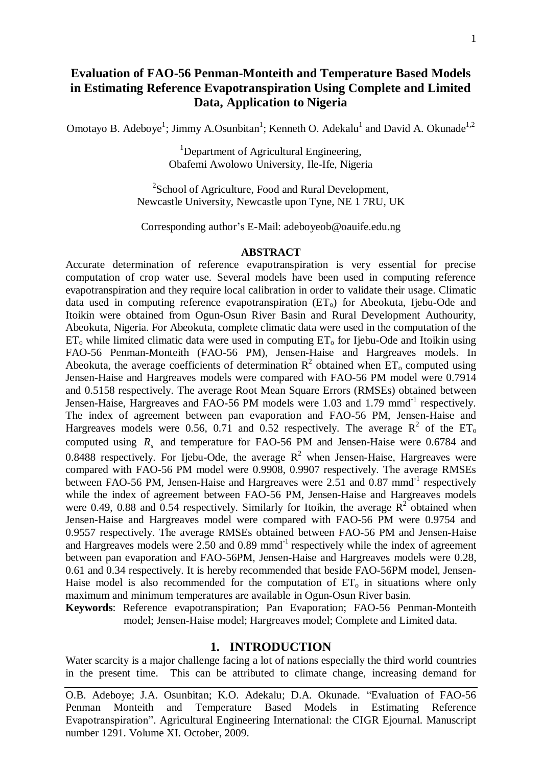# **Evaluation of FAO-56 Penman-Monteith and Temperature Based Models in Estimating Reference Evapotranspiration Using Complete and Limited Data, Application to Nigeria**

Omotayo B. Adeboye<sup>1</sup>; Jimmy A.Osunbitan<sup>1</sup>; Kenneth O. Adekalu<sup>1</sup> and David A. Okunade<sup>1,2</sup>

<sup>1</sup>Department of Agricultural Engineering, Obafemi Awolowo University, Ile-Ife, Nigeria

<sup>2</sup>School of Agriculture, Food and Rural Development, Newcastle University, Newcastle upon Tyne, NE 1 7RU, UK

Corresponding author's E-Mail: adeboyeob@oauife.edu.ng

#### **ABSTRACT**

Accurate determination of reference evapotranspiration is very essential for precise computation of crop water use. Several models have been used in computing reference evapotranspiration and they require local calibration in order to validate their usage. Climatic data used in computing reference evapotranspiration  $(ET_0)$  for Abeokuta, Ijebu-Ode and Itoikin were obtained from Ogun-Osun River Basin and Rural Development Authourity, Abeokuta, Nigeria. For Abeokuta, complete climatic data were used in the computation of the  $ET_0$  while limited climatic data were used in computing  $ET_0$  for Ijebu-Ode and Itoikin using FAO-56 Penman-Monteith (FAO-56 PM), Jensen-Haise and Hargreaves models. In Abeokuta, the average coefficients of determination  $R^2$  obtained when  $ET_0$  computed using Jensen-Haise and Hargreaves models were compared with FAO-56 PM model were 0.7914 and 0.5158 respectively. The average Root Mean Square Errors (RMSEs) obtained between Jensen-Haise, Hargreaves and FAO-56 PM models were 1.03 and 1.79 mmd<sup>-1</sup> respectively. The index of agreement between pan evaporation and FAO-56 PM, Jensen-Haise and Hargreaves models were 0.56, 0.71 and 0.52 respectively. The average  $R^2$  of the ET<sub>o</sub> computed using  $R_s$  and temperature for FAO-56 PM and Jensen-Haise were 0.6784 and 0.8488 respectively. For Ijebu-Ode, the average  $R^2$  when Jensen-Haise, Hargreaves were compared with FAO-56 PM model were 0.9908, 0.9907 respectively. The average RMSEs between FAO-56 PM, Jensen-Haise and Hargreaves were 2.51 and 0.87 mmd<sup>-1</sup> respectively while the index of agreement between FAO-56 PM, Jensen-Haise and Hargreaves models were 0.49, 0.88 and 0.54 respectively. Similarly for Itoikin, the average  $R^2$  obtained when Jensen-Haise and Hargreaves model were compared with FAO-56 PM were 0.9754 and 0.9557 respectively. The average RMSEs obtained between FAO-56 PM and Jensen-Haise and Hargreaves models were  $2.50$  and  $0.89$  mmd<sup>-1</sup> respectively while the index of agreement between pan evaporation and FAO-56PM, Jensen-Haise and Hargreaves models were 0.28, 0.61 and 0.34 respectively. It is hereby recommended that beside FAO-56PM model, Jensen-Haise model is also recommended for the computation of  $ET_0$  in situations where only maximum and minimum temperatures are available in Ogun-Osun River basin.

**Keywords**: Reference evapotranspiration; Pan Evaporation; FAO-56 Penman-Monteith model; Jensen-Haise model; Hargreaves model; Complete and Limited data.

#### **1. INTRODUCTION**

Water scarcity is a major challenge facing a lot of nations especially the third world countries in the present time. This can be attributed to climate change, increasing demand for

O.B. Adeboye; J.A. Osunbitan; K.O. Adekalu; D.A. Okunade. "Evaluation of FAO-56 Penman Monteith and Temperature Based Models in Estimating Reference Evapotranspiration". Agricultural Engineering International: the CIGR Ejournal. Manuscript number 1291. Volume XI. October, 2009.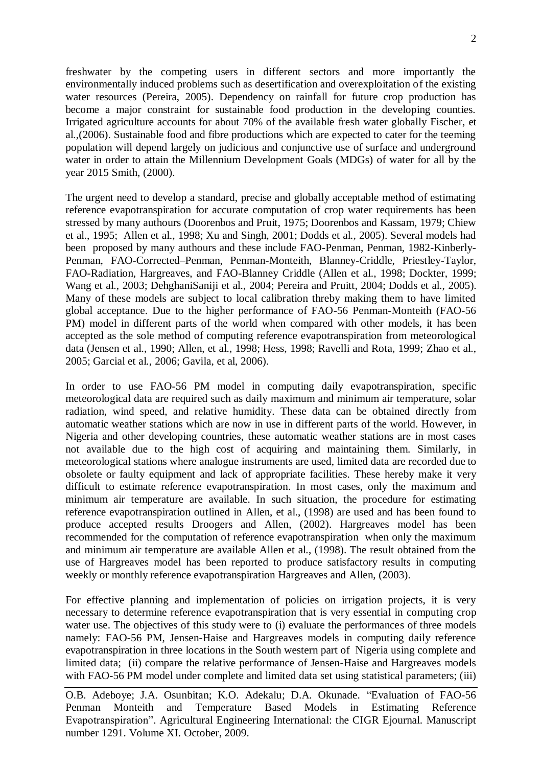freshwater by the competing users in different sectors and more importantly the environmentally induced problems such as desertification and overexploitation of the existing water resources (Pereira, 2005). Dependency on rainfall for future crop production has become a major constraint for sustainable food production in the developing counties. Irrigated agriculture accounts for about 70% of the available fresh water globally Fischer, et al.,(2006). Sustainable food and fibre productions which are expected to cater for the teeming population will depend largely on judicious and conjunctive use of surface and underground water in order to attain the Millennium Development Goals (MDGs) of water for all by the year 2015 Smith, (2000).

The urgent need to develop a standard, precise and globally acceptable method of estimating reference evapotranspiration for accurate computation of crop water requirements has been stressed by many authours (Doorenbos and Pruit, 1975; Doorenbos and Kassam, 1979; Chiew et al., 1995; Allen et al., 1998; Xu and Singh, 2001; Dodds et al., 2005). Several models had been proposed by many authours and these include FAO-Penman, Penman, 1982-Kinberly-Penman, FAO-Corrected–Penman, Penman-Monteith, Blanney-Criddle, Priestley-Taylor, FAO-Radiation, Hargreaves, and FAO-Blanney Criddle (Allen et al., 1998; Dockter, 1999; Wang et al., 2003; DehghaniSaniji et al., 2004; Pereira and Pruitt, 2004; Dodds et al., 2005). Many of these models are subject to local calibration threby making them to have limited global acceptance. Due to the higher performance of FAO-56 Penman-Monteith (FAO-56 PM) model in different parts of the world when compared with other models, it has been accepted as the sole method of computing reference evapotranspiration from meteorological data (Jensen et al., 1990; Allen, et al., 1998; Hess, 1998; Ravelli and Rota, 1999; Zhao et al., 2005; Garcial et al., 2006; Gavila, et al, 2006).

In order to use FAO-56 PM model in computing daily evapotranspiration, specific meteorological data are required such as daily maximum and minimum air temperature, solar radiation, wind speed, and relative humidity. These data can be obtained directly from automatic weather stations which are now in use in different parts of the world. However, in Nigeria and other developing countries, these automatic weather stations are in most cases not available due to the high cost of acquiring and maintaining them. Similarly, in meteorological stations where analogue instruments are used, limited data are recorded due to obsolete or faulty equipment and lack of appropriate facilities. These hereby make it very difficult to estimate reference evapotranspiration. In most cases, only the maximum and minimum air temperature are available. In such situation, the procedure for estimating reference evapotranspiration outlined in Allen, et al., (1998) are used and has been found to produce accepted results Droogers and Allen, (2002). Hargreaves model has been recommended for the computation of reference evapotranspiration when only the maximum and minimum air temperature are available Allen et al., (1998). The result obtained from the use of Hargreaves model has been reported to produce satisfactory results in computing weekly or monthly reference evapotranspiration Hargreaves and Allen, (2003).

For effective planning and implementation of policies on irrigation projects, it is very necessary to determine reference evapotranspiration that is very essential in computing crop water use. The objectives of this study were to (i) evaluate the performances of three models namely: FAO-56 PM, Jensen-Haise and Hargreaves models in computing daily reference evapotranspiration in three locations in the South western part of Nigeria using complete and limited data; (ii) compare the relative performance of Jensen-Haise and Hargreaves models with FAO-56 PM model under complete and limited data set using statistical parameters; (iii)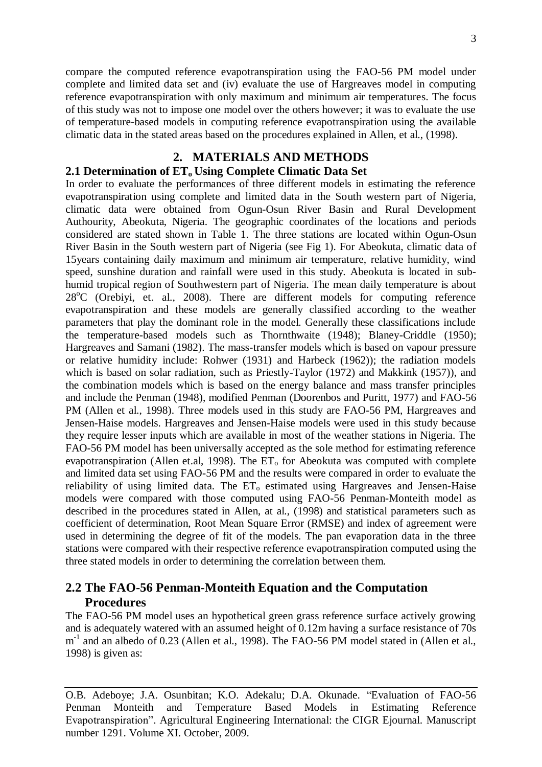compare the computed reference evapotranspiration using the FAO-56 PM model under complete and limited data set and (iv) evaluate the use of Hargreaves model in computing reference evapotranspiration with only maximum and minimum air temperatures. The focus of this study was not to impose one model over the others however; it was to evaluate the use of temperature-based models in computing reference evapotranspiration using the available climatic data in the stated areas based on the procedures explained in Allen, et al., (1998).

## **2. MATERIALS AND METHODS**

#### **2.1 Determination of ETo Using Complete Climatic Data Set**

In order to evaluate the performances of three different models in estimating the reference evapotranspiration using complete and limited data in the South western part of Nigeria, climatic data were obtained from Ogun-Osun River Basin and Rural Development Authourity, Abeokuta, Nigeria. The geographic coordinates of the locations and periods considered are stated shown in Table 1. The three stations are located within Ogun-Osun River Basin in the South western part of Nigeria (see Fig 1). For Abeokuta, climatic data of 15years containing daily maximum and minimum air temperature, relative humidity, wind speed, sunshine duration and rainfall were used in this study. Abeokuta is located in subhumid tropical region of Southwestern part of Nigeria. The mean daily temperature is about  $28^{\circ}$ C (Orebiyi, et. al., 2008). There are different models for computing reference evapotranspiration and these models are generally classified according to the weather parameters that play the dominant role in the model. Generally these classifications include the temperature-based models such as Thornthwaite (1948); Blaney-Criddle (1950); Hargreaves and Samani (1982). The mass-transfer models which is based on vapour pressure or relative humidity include: Rohwer (1931) and Harbeck (1962)); the radiation models which is based on solar radiation, such as Priestly-Taylor (1972) and Makkink (1957)), and the combination models which is based on the energy balance and mass transfer principles and include the Penman (1948), modified Penman (Doorenbos and Puritt, 1977) and FAO-56 PM (Allen et al., 1998). Three models used in this study are FAO-56 PM, Hargreaves and Jensen-Haise models. Hargreaves and Jensen-Haise models were used in this study because they require lesser inputs which are available in most of the weather stations in Nigeria. The FAO-56 PM model has been universally accepted as the sole method for estimating reference evapotranspiration (Allen et.al, 1998). The  $ET_0$  for Abeokuta was computed with complete and limited data set using FAO-56 PM and the results were compared in order to evaluate the reliability of using limited data. The  $ET_0$  estimated using Hargreaves and Jensen-Haise models were compared with those computed using FAO-56 Penman-Monteith model as described in the procedures stated in Allen, at al., (1998) and statistical parameters such as coefficient of determination, Root Mean Square Error (RMSE) and index of agreement were used in determining the degree of fit of the models. The pan evaporation data in the three stations were compared with their respective reference evapotranspiration computed using the three stated models in order to determining the correlation between them.

# **2.2 The FAO-56 Penman-Monteith Equation and the Computation Procedures**

The FAO-56 PM model uses an hypothetical green grass reference surface actively growing and is adequately watered with an assumed height of 0.12m having a surface resistance of 70s m<sup>-1</sup> and an albedo of 0.23 (Allen et al., 1998). The FAO-56 PM model stated in (Allen et al., 1998) is given as:

O.B. Adeboye; J.A. Osunbitan; K.O. Adekalu; D.A. Okunade. "Evaluation of FAO-56 Penman Monteith and Temperature Based Models in Estimating Reference Evapotranspiration". Agricultural Engineering International: the CIGR Ejournal. Manuscript number 1291. Volume XI. October, 2009.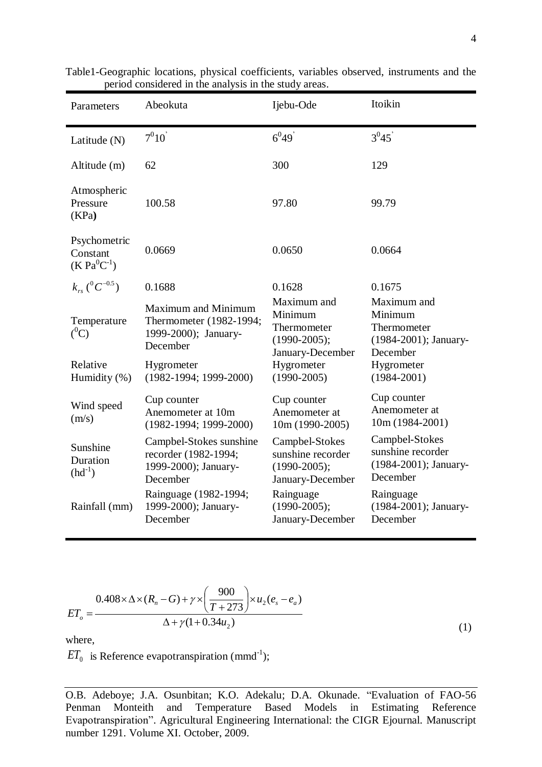| Parameters                                                                 | Abeokuta                                                                                  | Ijebu-Ode                                                                     | Itoikin                                                                    |  |  |
|----------------------------------------------------------------------------|-------------------------------------------------------------------------------------------|-------------------------------------------------------------------------------|----------------------------------------------------------------------------|--|--|
| Latitude (N)                                                               | $7^010$                                                                                   | $6^{0}49$                                                                     | $3^{0}45$                                                                  |  |  |
| Altitude (m)                                                               | 62                                                                                        | 300                                                                           | 129                                                                        |  |  |
| Atmospheric<br>Pressure<br>(KPa)                                           | 100.58                                                                                    | 97.80                                                                         | 99.79                                                                      |  |  |
| Psychometric<br>Constant<br>$(K Pa^{0}C^{-1})$                             | 0.0669                                                                                    | 0.0650                                                                        | 0.0664                                                                     |  |  |
| $k_{rs} ({}^{0}C^{-0.5})$                                                  | 0.1688                                                                                    | 0.1628                                                                        | 0.1675                                                                     |  |  |
| Temperature<br>$(^0C)$                                                     | <b>Maximum and Minimum</b><br>Thermometer (1982-1994;<br>1999-2000); January-<br>December | Maximum and<br>Minimum<br>Thermometer<br>$(1990 - 2005);$<br>January-December | Maximum and<br>Minimum<br>Thermometer<br>(1984-2001); January-<br>December |  |  |
| Relative<br>Humidity (%)                                                   | Hygrometer<br>$(1982-1994; 1999-2000)$                                                    | Hygrometer<br>$(1990 - 2005)$                                                 | Hygrometer<br>$(1984 - 2001)$                                              |  |  |
| Wind speed<br>(m/s)                                                        | Cup counter<br>Anemometer at 10m<br>$(1982-1994; 1999-2000)$                              | Cup counter<br>Anemometer at<br>10m (1990-2005)                               | Cup counter<br>Anemometer at<br>$10m(1984-2001)$                           |  |  |
| Sunshine<br>Duration<br>$(hd^{-1})$                                        | Campbel-Stokes sunshine<br>recorder (1982-1994;<br>1999-2000); January-<br>December       | Campbel-Stokes<br>sunshine recorder<br>$(1990 - 2005);$<br>January-December   | Campbel-Stokes<br>sunshine recorder<br>(1984-2001); January-<br>December   |  |  |
| Rainguage (1982-1994;<br>1999-2000); January-<br>Rainfall (mm)<br>December |                                                                                           | Rainguage<br>$(1990 - 2005);$<br>January-December                             | Rainguage<br>(1984-2001); January-<br>December                             |  |  |

Table1-Geographic locations, physical coefficients, variables observed, instruments and the period considered in the analysis in the study areas.

$$
ET_o = \frac{0.408 \times \Delta \times (R_n - G) + \gamma \times \left(\frac{900}{T + 273}\right) \times u_2 (e_s - e_a)}{\Delta + \gamma (1 + 0.34 u_2)}
$$

(1)

where,

 $ET_0$  is Reference evapotranspiration (mmd<sup>-1</sup>);

O.B. Adeboye; J.A. Osunbitan; K.O. Adekalu; D.A. Okunade. "Evaluation of FAO-56 Penman Monteith and Temperature Based Models in Estimating Reference Evapotranspiration". Agricultural Engineering International: the CIGR Ejournal. Manuscript number 1291. Volume XI. October, 2009.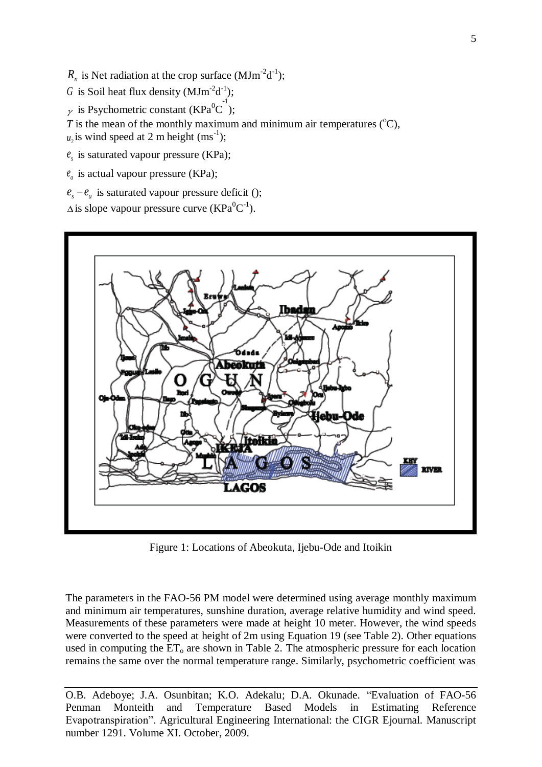$R_n$  is Net radiation at the crop surface (MJm<sup>-2</sup>d<sup>-1</sup>);

G is Soil heat flux density  $(MJm^2d^1)$ ;

 $\gamma$  is Psychometric constant (KPa<sup>0</sup>C<sup>-1</sup>);

*T* is the mean of the monthly maximum and minimum air temperatures ( $\rm{^{\circ}C}$ ),

 $u_2$  is wind speed at 2 m height (ms<sup>-1</sup>);

- $e<sub>s</sub>$  is saturated vapour pressure (KPa);
- $e_a$  is actual vapour pressure (KPa);
- $e_s e_a$  is saturated vapour pressure deficit ();

 $\Delta$  is slope vapour pressure curve (KPa<sup>0</sup>C<sup>-1</sup>).



Figure 1: Locations of Abeokuta, Ijebu-Ode and Itoikin

The parameters in the FAO-56 PM model were determined using average monthly maximum and minimum air temperatures, sunshine duration, average relative humidity and wind speed. Measurements of these parameters were made at height 10 meter. However, the wind speeds were converted to the speed at height of 2m using Equation 19 (see Table 2). Other equations used in computing the  $ET_0$  are shown in Table 2. The atmospheric pressure for each location remains the same over the normal temperature range. Similarly, psychometric coefficient was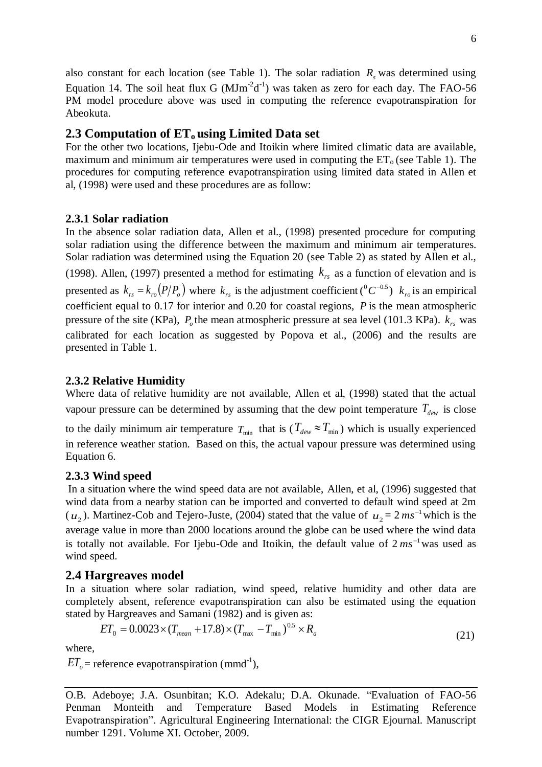# **2.3 Computation of ETo using Limited Data set**

For the other two locations, Ijebu-Ode and Itoikin where limited climatic data are available, maximum and minimum air temperatures were used in computing the  $ET_0$  (see Table 1). The procedures for computing reference evapotranspiration using limited data stated in Allen et al, (1998) were used and these procedures are as follow:

## **2.3.1 Solar radiation**

In the absence solar radiation data, Allen et al., (1998) presented procedure for computing solar radiation using the difference between the maximum and minimum air temperatures. Solar radiation was determined using the Equation 20 (see Table 2) as stated by Allen et al., (1998). Allen, (1997) presented a method for estimating  $k_{rs}$  as a function of elevation and is presented as  $k_{rs} = k_{ro} (P/P_o)$  where  $k_{rs}$  is the adjustment coefficient ( ${}^0C^{-0.5}$ )  $k_{ro}$  is an empirical coefficient equal to 0.17 for interior and 0.20 for coastal regions, *P* is the mean atmospheric pressure of the site (KPa),  $P_o$  the mean atmospheric pressure at sea level (101.3 KPa).  $k_{rs}$  was calibrated for each location as suggested by Popova et al., (2006) and the results are presented in Table 1.

## **2.3.2 Relative Humidity**

Where data of relative humidity are not available, Allen et al, (1998) stated that the actual vapour pressure can be determined by assuming that the dew point temperature  $T_{\text{dev}}$  is close

to the daily minimum air temperature  $T_{\min}$  that is ( $T_{dw} \approx T_{\min}$ ) which is usually experienced in reference weather station. Based on this, the actual vapour pressure was determined using Equation 6.

## **2.3.3 Wind speed**

In a situation where the wind speed data are not available, Allen, et al, (1996) suggested that wind data from a nearby station can be imported and converted to default wind speed at 2m  $(u_2)$ . Martinez-Cob and Tejero-Juste, (2004) stated that the value of  $u_2 = 2 ms^{-1}$  which is the average value in more than 2000 locations around the globe can be used where the wind data is totally not available. For Ijebu-Ode and Itoikin, the default value of  $2 \text{ ms}^{-1}$  was used as wind speed.

### **2.4 Hargreaves model**

In a situation where solar radiation, wind speed, relative humidity and other data are completely absent, reference evapotranspiration can also be estimated using the equation stated by Hargreaves and Samani (1982) and is given as:

$$
ET_0 = 0.0023 \times (T_{mean} + 17.8) \times (T_{max} - T_{min})^{0.5} \times R_a
$$
\n(21)

where,

 $ET_{o}$  = reference evapotranspiration (mmd<sup>-1</sup>),

O.B. Adeboye; J.A. Osunbitan; K.O. Adekalu; D.A. Okunade. "Evaluation of FAO-56 Penman Monteith and Temperature Based Models in Estimating Reference Evapotranspiration". Agricultural Engineering International: the CIGR Ejournal. Manuscript number 1291. Volume XI. October, 2009.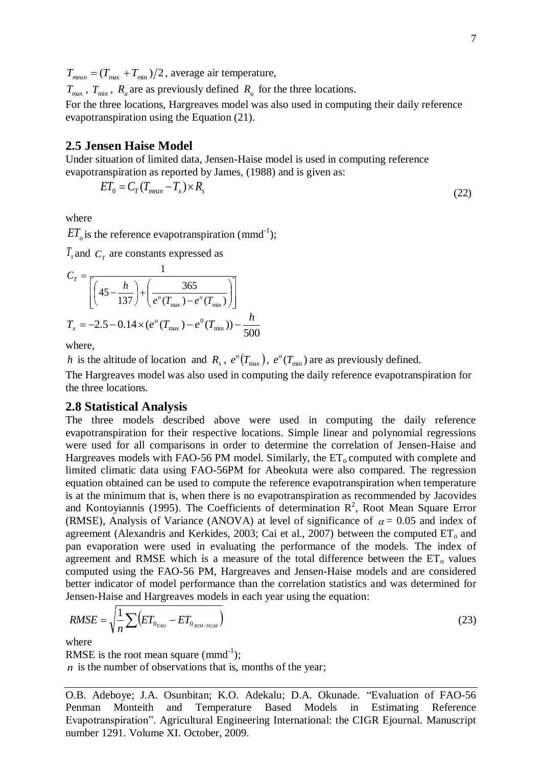$T_{mean} = (T_{max} + T_{min})/2$ , average air temperature,

 $T_{\text{max}}$ ,  $T_{\text{min}}$ ,  $R_a$  are as previously defined  $R_a$  for the three locations.

For the three locations, Hargreaves model was also used in computing their daily reference evapotranspiration using the Equation (21).

## **2.5 Jensen Haise Model**

Under situation of limited data, Jensen-Haise model is used in computing reference evapotranspiration as reported by James, (1988) and is given as:

$$
ET_0 = C_T (T_{mean} - T_x) \times R_s \tag{22}
$$

where

 $ET_{o}$  is the reference evapotranspiration (mmd<sup>-1</sup>);

 $T_{\rm x}$  and  $C_{\rm T}$  are constants expressed as

$$
C_T = \frac{1}{\left[ \left( 45 - \frac{h}{137} \right) + \left( \frac{365}{e^o (T_{\text{max}}) - e^o (T_{\text{min}})} \right) \right]}
$$
  

$$
T_x = -2.5 - 0.14 \times (e^o (T_{\text{max}}) - e^0 (T_{\text{min}})) - \frac{h}{500}
$$

where,

*h* is the altitude of location and  $R_s$ ,  $e^o(T_{\text{max}})$ ,  $e^o(T_{\text{min}})$  are as previously defined.

The Hargreaves model was also used in computing the daily reference evapotranspiration for the three locations.

### **2.8 Statistical Analysis**

The three models described above were used in computing the daily reference evapotranspiration for their respective locations. Simple linear and polynomial regressions were used for all comparisons in order to determine the correlation of Jensen-Haise and Hargreaves models with FAO-56 PM model. Similarly, the  $ET_0$  computed with complete and limited climatic data using FAO-56PM for Abeokuta were also compared. The regression equation obtained can be used to compute the reference evapotranspiration when temperature is at the minimum that is, when there is no evapotranspiration as recommended by Jacovides and Kontoyiannis (1995). The Coefficients of determination  $\mathbb{R}^2$ , Root Mean Square Error (RMSE), Analysis of Variance (ANOVA) at level of significance of  $\alpha = 0.05$  and index of agreement (Alexandris and Kerkides, 2003; Cai et al., 2007) between the computed  $ET_0$  and pan evaporation were used in evaluating the performance of the models. The index of agreement and RMSE which is a measure of the total difference between the  $ET_0$  values computed using the FAO-56 PM, Hargreaves and Jensen-Haise models and are considered better indicator of model performance than the correlation statistics and was determined for Jensen-Haise and Hargreaves models in each year using the equation:

$$
RMSE = \sqrt{\frac{1}{n} \sum (ET_{0_{FAO}} - ET_{0_{HH/HGM}})
$$
\n(23)

where

RMSE is the root mean square  $(mmd^{-1})$ ; *n* is the number of observations that is, months of the year;

O.B. Adeboye; J.A. Osunbitan; K.O. Adekalu; D.A. Okunade. "Evaluation of FAO-56 Penman Monteith and Temperature Based Models in Estimating Reference Evapotranspiration". Agricultural Engineering International: the CIGR Ejournal. Manuscript number 1291. Volume XI. October, 2009.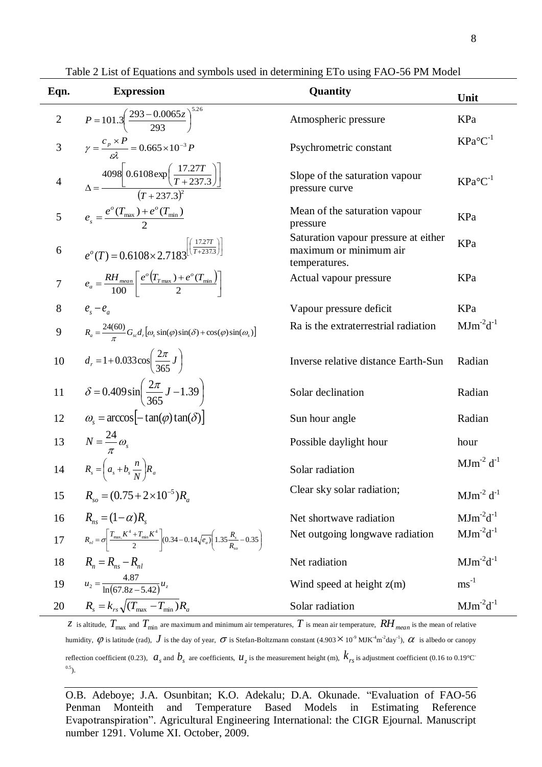| Eqn.           | <b>Expression</b><br>Quantity                                                                                                                          |                                                                                 | Unit                       |
|----------------|--------------------------------------------------------------------------------------------------------------------------------------------------------|---------------------------------------------------------------------------------|----------------------------|
| $\overline{2}$ | $P = 101.3 \left( \frac{293 - 0.0065z}{293} \right)^{3.26}$                                                                                            | Atmospheric pressure                                                            | KPa                        |
| 3              | $\gamma = \frac{c_p \times P}{c^2} = 0.665 \times 10^{-3} P$                                                                                           | Psychrometric constant                                                          | $KPa^{\circ}C^{-1}$        |
| $\overline{4}$ | $\Delta = \frac{4098 \left[ 0.6108 \exp\left( \frac{17.27T}{T + 237.3} \right) \right]}{(T + 237.3)^2}$                                                | Slope of the saturation vapour<br>pressure curve                                | $KPa^{\circ}C^{-1}$        |
| 5              | $e_s = \frac{e^{\circ}(T_{\text{max}}) + e^{\circ}(T_{\text{min}})}{2}$                                                                                | Mean of the saturation vapour<br>pressure                                       | KPa                        |
| 6              | $e^{o}(T) = 0.6108 \times 2.7183^{\left[\frac{17.27T}{T+237.3}\right]}$                                                                                | Saturation vapour pressure at either<br>maximum or minimum air<br>temperatures. | KPa                        |
| $\overline{7}$ | $e_a = \frac{RH_{mean}}{100} \left[ \frac{e^{o}(T_{T_{max}}) + e^{o}(T_{min})}{2} \right]$                                                             | Actual vapour pressure                                                          | KPa                        |
| 8              | $e_{s}-e_{a}$                                                                                                                                          | Vapour pressure deficit                                                         | KPa                        |
| 9              | $R_a = \frac{24(60)}{\pi} G_{sc} d_r [\omega_s \sin(\varphi) \sin(\delta) + \cos(\varphi) \sin(\omega_s)]$                                             | Ra is the extraterrestrial radiation                                            | $MJm^2d^{-1}$              |
| $10\,$         | $d_r = 1 + 0.033 \cos \left( \frac{2\pi}{365} J \right)$                                                                                               | Inverse relative distance Earth-Sun                                             | Radian                     |
| 11             | $\delta = 0.409 \sin \left( \frac{2\pi}{365} J - 1.39 \right)$                                                                                         | Solar declination                                                               | Radian                     |
| 12             | $\omega_{\rm s} = \arccos \left[-\tan(\varphi) \tan(\delta)\right]$                                                                                    | Sun hour angle                                                                  | Radian                     |
| 13             | $N=\frac{24}{\pi}\omega_s$                                                                                                                             | Possible daylight hour                                                          | hour                       |
| 14             | $R_s = \left(a_s + b_s \frac{n}{N}\right) R_a$                                                                                                         | Solar radiation                                                                 | $MJm^{-2} d^{-1}$          |
| 15             | $R_{so} = (0.75 + 2 \times 10^{-5})R_a$                                                                                                                | Clear sky solar radiation;                                                      | $MJm^{-2}$ d <sup>-1</sup> |
| 16             | $R_{ns} = (1 - \alpha)R_{s}$                                                                                                                           | Net shortwave radiation                                                         | $MJm^{-2}d^{-1}$           |
| $17\,$         | $R_{nl} = \sigma \left  \frac{T_{\text{max}} K^4 + T_{\text{min}} K^4}{2} \right  (0.34 - 0.14 \sqrt{e_a}) \left( 1.35 \frac{R_s}{R_s} - 0.35 \right)$ | Net outgoing longwave radiation                                                 | $MJm^{-2}d^{-1}$           |
| 18             | $R_{n} = R_{ns} - R_{nl}$                                                                                                                              | Net radiation                                                                   | $MJm^{-2}d^{-1}$           |
| 19             | $u_2 = \frac{4.87}{\ln(67.8z - 5.42)} u_z$                                                                                                             | Wind speed at height $z(m)$                                                     | $\mathrm{ms}^{\text{-}1}$  |
| 20             | $R_s = k_{rs} \sqrt{(T_{\text{max}} - T_{\text{min}})R_a}$                                                                                             | Solar radiation                                                                 | $MJm^2d^{-1}$              |

Table 2 List of Equations and symbols used in determining ETo using FAO-56 PM Model

 $z$  is altitude,  $T_{\max}$  and  $T_{\min}$  are maximum and minimum air temperatures,  $T$  is mean air temperature,  $RH_{\max}$  is the mean of relative humidity,  $\phi$  is latitude (rad),  $J$  is the day of year,  $\sigma$  is Stefan-Boltzmann constant (4.903  $\times$  10<sup>-9</sup> MJK<sup>-4</sup>m<sup>-2</sup>day<sup>-1</sup>),  $\alpha$  is albedo or canopy reflection coefficient (0.23),  $a_s$  and  $b_s$  are coefficients,  $u_z$  is the measurement height (m),  $k_{rs}$  is adjustment coefficient (0.16 to 0.19°C  $^{0.5}$ ).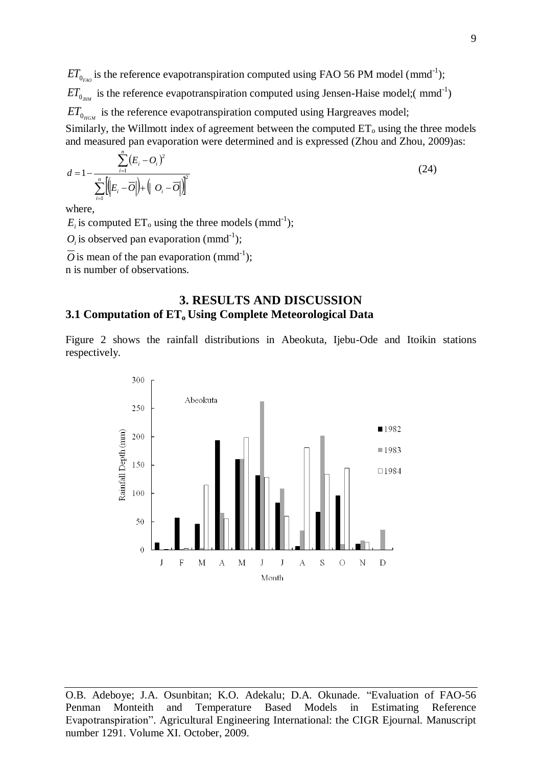$ET_{0_{FAO}}$  is the reference evapotranspiration computed using FAO 56 PM model (mmd<sup>-1</sup>);  $ET_{0_{\textit{mm}}}$  is the reference evapotranspiration computed using Jensen-Haise model;( mmd<sup>-1</sup>)  $ET_{0_{HGM}}$  is the reference evapotranspiration computed using Hargreaves model; Similarly, the Willmott index of agreement between the computed  $ET_0$  using the three models and measured pan evaporation were determined and is expressed (Zhou and Zhou, 2009)as: *n*

$$
d = 1 - \frac{\sum_{i=1}^{n} (E_i - O_i)^2}{\sum_{i=1}^{n} \left( |E_i - \overline{O}| \right) + \left( |O_i - \overline{O}| \right)^2}
$$
(24)

where,

 $E_i$  is computed  $ET_o$  using the three models (mmd<sup>-1</sup>);

 $O_i$  is observed pan evaporation (mmd<sup>-1</sup>);

 $\overline{O}$  is mean of the pan evaporation (mmd<sup>-1</sup>);

n is number of observations.

## **3. RESULTS AND DISCUSSION 3.1 Computation of ETo Using Complete Meteorological Data**

Figure 2 shows the rainfall distributions in Abeokuta, Ijebu-Ode and Itoikin stations respectively.



O.B. Adeboye; J.A. Osunbitan; K.O. Adekalu; D.A. Okunade. "Evaluation of FAO-56 Penman Monteith and Temperature Based Models in Estimating Reference Evapotranspiration". Agricultural Engineering International: the CIGR Ejournal. Manuscript number 1291. Volume XI. October, 2009.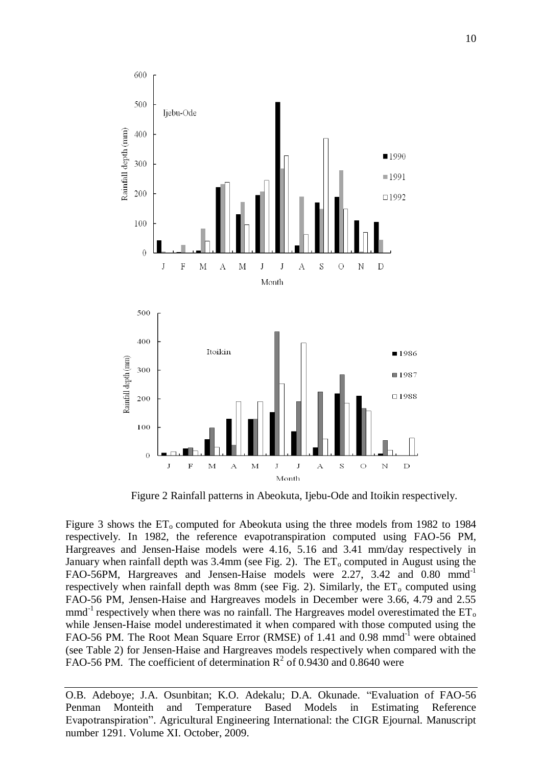

Figure 2 Rainfall patterns in Abeokuta, Ijebu-Ode and Itoikin respectively.

Figure 3 shows the  $ET_0$  computed for Abeokuta using the three models from 1982 to 1984 respectively. In 1982, the reference evapotranspiration computed using FAO-56 PM, Hargreaves and Jensen-Haise models were 4.16, 5.16 and 3.41 mm/day respectively in January when rainfall depth was  $3.4$ mm (see Fig. 2). The  $ET_0$  computed in August using the FAO-56PM, Hargreaves and Jensen-Haise models were 2.27, 3.42 and 0.80 mmd<sup>-1</sup> respectively when rainfall depth was 8mm (see Fig. 2). Similarly, the  $ET_0$  computed using FAO-56 PM, Jensen-Haise and Hargreaves models in December were 3.66, 4.79 and 2.55 mmd<sup>-1</sup> respectively when there was no rainfall. The Hargreaves model overestimated the  $ET_0$ while Jensen-Haise model underestimated it when compared with those computed using the FAO-56 PM. The Root Mean Square Error (RMSE) of 1.41 and 0.98 mmd<sup>-1</sup> were obtained (see Table 2) for Jensen-Haise and Hargreaves models respectively when compared with the FAO-56 PM. The coefficient of determination  $R^2$  of 0.9430 and 0.8640 were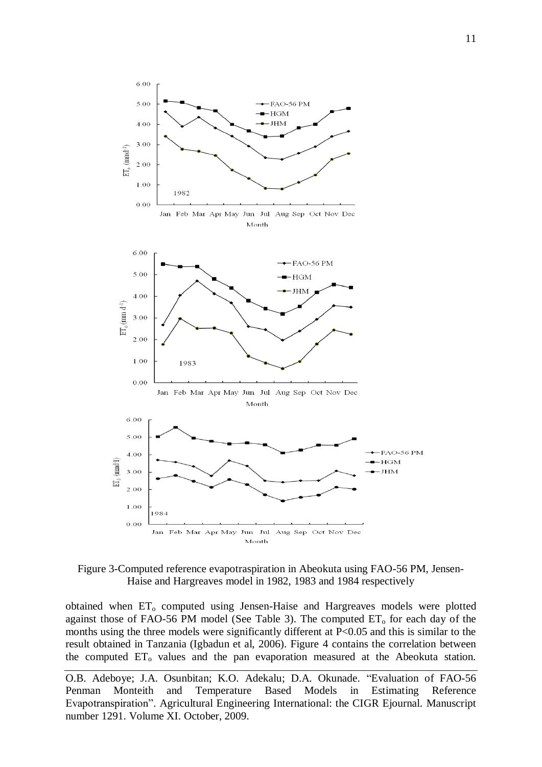

Figure 3-Computed reference evapotraspiration in Abeokuta using FAO-56 PM, Jensen-Haise and Hargreaves model in 1982, 1983 and 1984 respectively

obtained when ET<sub>o</sub> computed using Jensen-Haise and Hargreaves models were plotted against those of FAO-56 PM model (See Table 3). The computed  $ET_0$  for each day of the months using the three models were significantly different at P<0.05 and this is similar to the result obtained in Tanzania (Igbadun et al, 2006). Figure 4 contains the correlation between the computed  $ET_0$  values and the pan evaporation measured at the Abeokuta station.

O.B. Adeboye; J.A. Osunbitan; K.O. Adekalu; D.A. Okunade. "Evaluation of FAO-56 Penman Monteith and Temperature Based Models in Estimating Reference Evapotranspiration". Agricultural Engineering International: the CIGR Ejournal. Manuscript number 1291. Volume XI. October, 2009.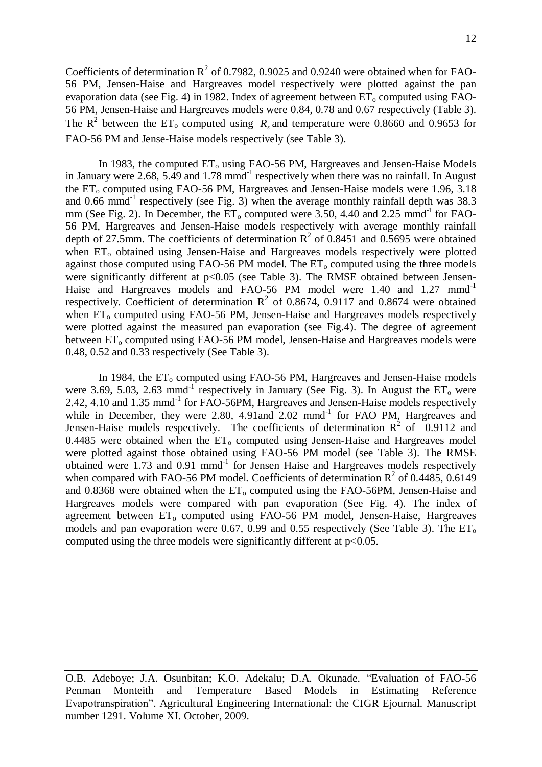Coefficients of determination  $R^2$  of 0.7982, 0.9025 and 0.9240 were obtained when for FAO-56 PM, Jensen-Haise and Hargreaves model respectively were plotted against the pan evaporation data (see Fig. 4) in 1982. Index of agreement between  $ET_0$  computed using FAO-56 PM, Jensen-Haise and Hargreaves models were 0.84, 0.78 and 0.67 respectively (Table 3). The  $R^2$  between the ET<sub>0</sub> computed using  $R_s$  and temperature were 0.8660 and 0.9653 for FAO-56 PM and Jense-Haise models respectively (see Table 3).

In 1983, the computed  $ET_0$  using FAO-56 PM, Hargreaves and Jensen-Haise Models in January were 2.68, 5.49 and  $1.78 \text{ mmd}^{-1}$  respectively when there was no rainfall. In August the  $ET_0$  computed using FAO-56 PM, Hargreaves and Jensen-Haise models were 1.96, 3.18 and  $0.66$  mmd<sup>-1</sup> respectively (see Fig. 3) when the average monthly rainfall depth was  $38.3$ mm (See Fig. 2). In December, the  $ET_0$  computed were 3.50, 4.40 and 2.25 mmd<sup>-1</sup> for FAO-56 PM, Hargreaves and Jensen-Haise models respectively with average monthly rainfall depth of 27.5mm. The coefficients of determination  $R^2$  of 0.8451 and 0.5695 were obtained when ET<sub>o</sub> obtained using Jensen-Haise and Hargreaves models respectively were plotted against those computed using FAO-56 PM model. The  $ET_0$  computed using the three models were significantly different at p<0.05 (see Table 3). The RMSE obtained between Jensen-Haise and Hargreaves models and FAO-56 PM model were 1.40 and 1.27 mmd<sup>-1</sup> respectively. Coefficient of determination  $R^2$  of 0.8674, 0.9117 and 0.8674 were obtained when  $ET_0$  computed using FAO-56 PM, Jensen-Haise and Hargreaves models respectively were plotted against the measured pan evaporation (see Fig.4). The degree of agreement between  $ET_0$  computed using FAO-56 PM model, Jensen-Haise and Hargreaves models were 0.48, 0.52 and 0.33 respectively (See Table 3).

In 1984, the  $ET_0$  computed using FAO-56 PM, Hargreaves and Jensen-Haise models were 3.69, 5.03, 2.63 mmd<sup>-1</sup> respectively in January (See Fig. 3). In August the  $ET_0$  were 2.42, 4.10 and 1.35 mmd<sup>-1</sup> for FAO-56PM, Hargreaves and Jensen-Haise models respectively while in December, they were 2.80, 4.91and 2.02 mmd<sup>-1</sup> for FAO PM, Hargreaves and Jensen-Haise models respectively. The coefficients of determination  $R^2$  of 0.9112 and 0.4485 were obtained when the  $ET_0$  computed using Jensen-Haise and Hargreaves model were plotted against those obtained using FAO-56 PM model (see Table 3). The RMSE obtained were 1.73 and 0.91 mmd<sup>-1</sup> for Jensen Haise and Hargreaves models respectively when compared with FAO-56 PM model. Coefficients of determination  $R^2$  of 0.4485, 0.6149 and  $0.8368$  were obtained when the  $ET_0$  computed using the FAO-56PM, Jensen-Haise and Hargreaves models were compared with pan evaporation (See Fig. 4). The index of agreement between  $ET_0$  computed using FAO-56 PM model, Jensen-Haise, Hargreaves models and pan evaporation were 0.67, 0.99 and 0.55 respectively (See Table 3). The  $ET_0$ computed using the three models were significantly different at  $p<0.05$ .

O.B. Adeboye; J.A. Osunbitan; K.O. Adekalu; D.A. Okunade. "Evaluation of FAO-56 Penman Monteith and Temperature Based Models in Estimating Reference Evapotranspiration". Agricultural Engineering International: the CIGR Ejournal. Manuscript number 1291. Volume XI. October, 2009.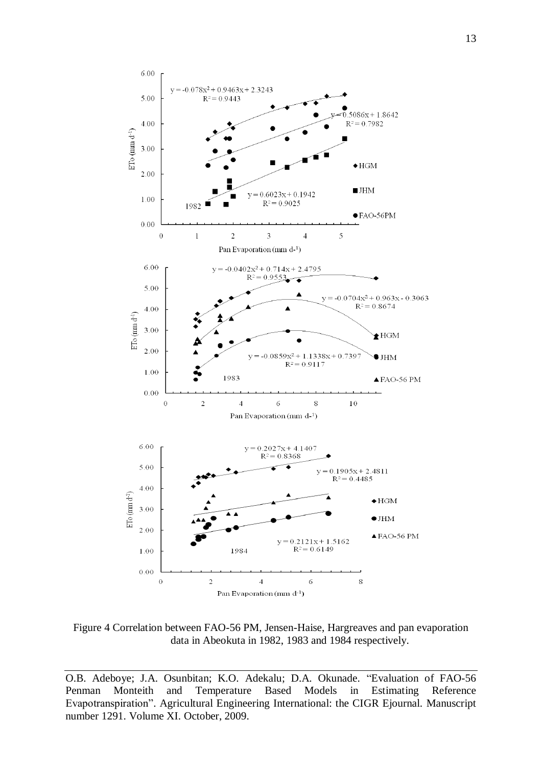

Figure 4 Correlation between FAO-56 PM, Jensen-Haise, Hargreaves and pan evaporation data in Abeokuta in 1982, 1983 and 1984 respectively.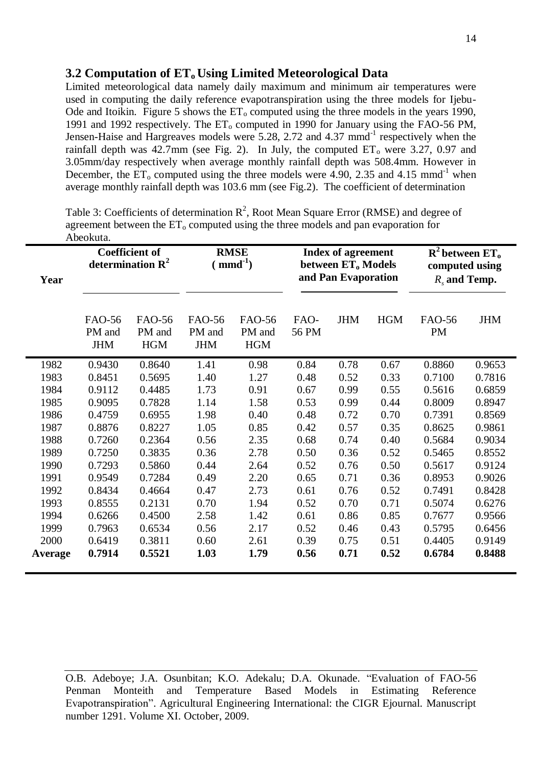# **3.2 Computation of ETo Using Limited Meteorological Data**

Limited meteorological data namely daily maximum and minimum air temperatures were used in computing the daily reference evapotranspiration using the three models for Ijebu-Ode and Itoikin. Figure 5 shows the  $ET_0$  computed using the three models in the years 1990, 1991 and 1992 respectively. The  $ET_0$  computed in 1990 for January using the FAO-56 PM, Jensen-Haise and Hargreaves models were 5.28, 2.72 and 4.37 mmd<sup>-1</sup> respectively when the rainfall depth was  $42.7$ mm (see Fig. 2). In July, the computed  $ET_0$  were 3.27, 0.97 and 3.05mm/day respectively when average monthly rainfall depth was 508.4mm. However in December, the  $ET_0$  computed using the three models were 4.90, 2.35 and 4.15 mmd<sup>-1</sup> when average monthly rainfall depth was 103.6 mm (see Fig.2). The coefficient of determination

| Abeokuta. |                                                       |                                       |                                |                                       |                                                                             |            |            |                                                                                   |            |
|-----------|-------------------------------------------------------|---------------------------------------|--------------------------------|---------------------------------------|-----------------------------------------------------------------------------|------------|------------|-----------------------------------------------------------------------------------|------------|
| Year      | <b>Coefficient of</b><br>determination $\mathbf{R}^2$ |                                       | <b>RMSE</b><br>$(mmd^{-1})$    |                                       | Index of agreement<br>between ET <sub>o</sub> Models<br>and Pan Evaporation |            |            | $\mathbb{R}^2$ between ET <sub>0</sub><br>computed using<br>$R_{\rm s}$ and Temp. |            |
|           | FAO-56<br>PM and<br><b>JHM</b>                        | <b>FAO-56</b><br>PM and<br><b>HGM</b> | FAO-56<br>PM and<br><b>JHM</b> | <b>FAO-56</b><br>PM and<br><b>HGM</b> | FAO-<br>56 PM                                                               | <b>JHM</b> | <b>HGM</b> | FAO-56<br>PM                                                                      | <b>JHM</b> |
| 1982      | 0.9430                                                | 0.8640                                | 1.41                           | 0.98                                  | 0.84                                                                        | 0.78       | 0.67       | 0.8860                                                                            | 0.9653     |
| 1983      | 0.8451                                                | 0.5695                                | 1.40                           | 1.27                                  | 0.48                                                                        | 0.52       | 0.33       | 0.7100                                                                            | 0.7816     |
| 1984      | 0.9112                                                | 0.4485                                | 1.73                           | 0.91                                  | 0.67                                                                        | 0.99       | 0.55       | 0.5616                                                                            | 0.6859     |
| 1985      | 0.9095                                                | 0.7828                                | 1.14                           | 1.58                                  | 0.53                                                                        | 0.99       | 0.44       | 0.8009                                                                            | 0.8947     |
| 1986      | 0.4759                                                | 0.6955                                | 1.98                           | 0.40                                  | 0.48                                                                        | 0.72       | 0.70       | 0.7391                                                                            | 0.8569     |
| 1987      | 0.8876                                                | 0.8227                                | 1.05                           | 0.85                                  | 0.42                                                                        | 0.57       | 0.35       | 0.8625                                                                            | 0.9861     |
| 1988      | 0.7260                                                | 0.2364                                | 0.56                           | 2.35                                  | 0.68                                                                        | 0.74       | 0.40       | 0.5684                                                                            | 0.9034     |
| 1989      | 0.7250                                                | 0.3835                                | 0.36                           | 2.78                                  | 0.50                                                                        | 0.36       | 0.52       | 0.5465                                                                            | 0.8552     |
| 1990      | 0.7293                                                | 0.5860                                | 0.44                           | 2.64                                  | 0.52                                                                        | 0.76       | 0.50       | 0.5617                                                                            | 0.9124     |
| 1991      | 0.9549                                                | 0.7284                                | 0.49                           | 2.20                                  | 0.65                                                                        | 0.71       | 0.36       | 0.8953                                                                            | 0.9026     |
| 1992      | 0.8434                                                | 0.4664                                | 0.47                           | 2.73                                  | 0.61                                                                        | 0.76       | 0.52       | 0.7491                                                                            | 0.8428     |
| 1993      | 0.8555                                                | 0.2131                                | 0.70                           | 1.94                                  | 0.52                                                                        | 0.70       | 0.71       | 0.5074                                                                            | 0.6276     |
| 1994      | 0.6266                                                | 0.4500                                | 2.58                           | 1.42                                  | 0.61                                                                        | 0.86       | 0.85       | 0.7677                                                                            | 0.9566     |
| 1999      | 0.7963                                                | 0.6534                                | 0.56                           | 2.17                                  | 0.52                                                                        | 0.46       | 0.43       | 0.5795                                                                            | 0.6456     |
| 2000      | 0.6419                                                | 0.3811                                | 0.60                           | 2.61                                  | 0.39                                                                        | 0.75       | 0.51       | 0.4405                                                                            | 0.9149     |
| Average   | 0.7914                                                | 0.5521                                | 1.03                           | 1.79                                  | 0.56                                                                        | 0.71       | 0.52       | 0.6784                                                                            | 0.8488     |

Table 3: Coefficients of determination  $R^2$ , Root Mean Square Error (RMSE) and degree of agreement between the  $ET_0$  computed using the three models and pan evaporation for

O.B. Adeboye; J.A. Osunbitan; K.O. Adekalu; D.A. Okunade. "Evaluation of FAO-56 Penman Monteith and Temperature Based Models in Estimating Reference Evapotranspiration". Agricultural Engineering International: the CIGR Ejournal. Manuscript number 1291. Volume XI. October, 2009.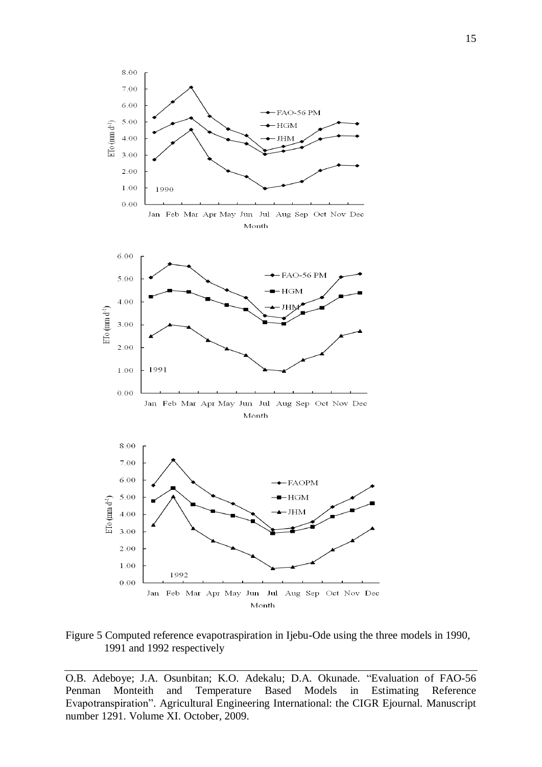

Figure 5 Computed reference evapotraspiration in Ijebu-Ode using the three models in 1990, 1991 and 1992 respectively

O.B. Adeboye; J.A. Osunbitan; K.O. Adekalu; D.A. Okunade. "Evaluation of FAO-56 Penman Monteith and Temperature Based Models in Estimating Reference Evapotranspiration". Agricultural Engineering International: the CIGR Ejournal. Manuscript number 1291. Volume XI. October, 2009.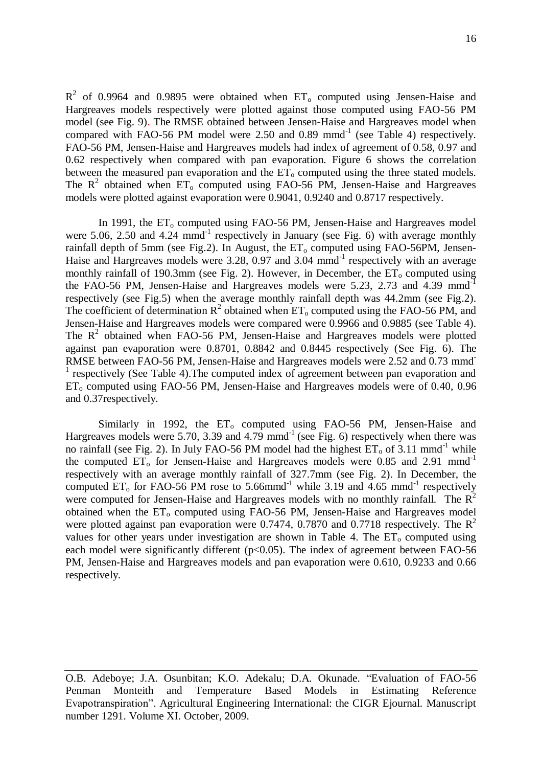$R^2$  of 0.9964 and 0.9895 were obtained when  $ET_0$  computed using Jensen-Haise and Hargreaves models respectively were plotted against those computed using FAO-56 PM model (see Fig. 9). The RMSE obtained between Jensen-Haise and Hargreaves model when compared with FAO-56 PM model were 2.50 and 0.89 mmd<sup>-1</sup> (see Table 4) respectively. FAO-56 PM, Jensen-Haise and Hargreaves models had index of agreement of 0.58, 0.97 and 0.62 respectively when compared with pan evaporation. Figure 6 shows the correlation between the measured pan evaporation and the  $ET_0$  computed using the three stated models. The  $R^2$  obtained when  $ET_0$  computed using FAO-56 PM, Jensen-Haise and Hargreaves models were plotted against evaporation were 0.9041, 0.9240 and 0.8717 respectively.

In 1991, the  $ET_0$  computed using FAO-56 PM, Jensen-Haise and Hargreaves model were 5.06, 2.50 and 4.24 mmd<sup>-1</sup> respectively in January (see Fig. 6) with average monthly rainfall depth of 5mm (see Fig.2). In August, the  $ET_0$  computed using FAO-56PM, Jensen-Haise and Hargreaves models were 3.28, 0.97 and 3.04 mmd<sup>-1</sup> respectively with an average monthly rainfall of 190.3mm (see Fig. 2). However, in December, the  $ET_0$  computed using the FAO-56 PM, Jensen-Haise and Hargreaves models were 5.23, 2.73 and 4.39 mmd<sup>-1</sup> respectively (see Fig.5) when the average monthly rainfall depth was 44.2mm (see Fig.2). The coefficient of determination  $R^2$  obtained when  $ET_0$  computed using the FAO-56 PM, and Jensen-Haise and Hargreaves models were compared were 0.9966 and 0.9885 (see Table 4). The  $R<sup>2</sup>$  obtained when FAO-56 PM, Jensen-Haise and Hargreaves models were plotted against pan evaporation were 0.8701, 0.8842 and 0.8445 respectively (See Fig. 6). The RMSE between FAO-56 PM, Jensen-Haise and Hargreaves models were 2.52 and 0.73 mmd-<sup>1</sup> respectively (See Table 4). The computed index of agreement between pan evaporation and  $ET_0$  computed using FAO-56 PM, Jensen-Haise and Hargreaves models were of 0.40, 0.96 and 0.37respectively.

Similarly in 1992, the ET<sub>o</sub> computed using FAO-56 PM, Jensen-Haise and Hargreaves models were 5.70, 3.39 and 4.79 mmd<sup>-1</sup> (see Fig. 6) respectively when there was no rainfall (see Fig. 2). In July FAO-56 PM model had the highest  $ET_0$  of 3.11 mmd<sup>-1</sup> while the computed  $ET_0$  for Jensen-Haise and Hargreaves models were 0.85 and 2.91 mmd<sup>-1</sup> respectively with an average monthly rainfall of 327.7mm (see Fig. 2). In December, the computed  $ET_0$  for FAO-56 PM rose to 5.66mmd<sup>-1</sup> while 3.19 and 4.65 mmd<sup>-1</sup> respectively were computed for Jensen-Haise and Hargreaves models with no monthly rainfall. The  $R^2$ obtained when the ET<sub>o</sub> computed using FAO-56 PM, Jensen-Haise and Hargreaves model were plotted against pan evaporation were 0.7474, 0.7870 and 0.7718 respectively. The  $R^2$ values for other years under investigation are shown in Table 4. The  $ET_0$  computed using each model were significantly different ( $p<0.05$ ). The index of agreement between FAO-56 PM, Jensen-Haise and Hargreaves models and pan evaporation were 0.610, 0.9233 and 0.66 respectively.

O.B. Adeboye; J.A. Osunbitan; K.O. Adekalu; D.A. Okunade. "Evaluation of FAO-56 Penman Monteith and Temperature Based Models in Estimating Reference Evapotranspiration". Agricultural Engineering International: the CIGR Ejournal. Manuscript number 1291. Volume XI. October, 2009.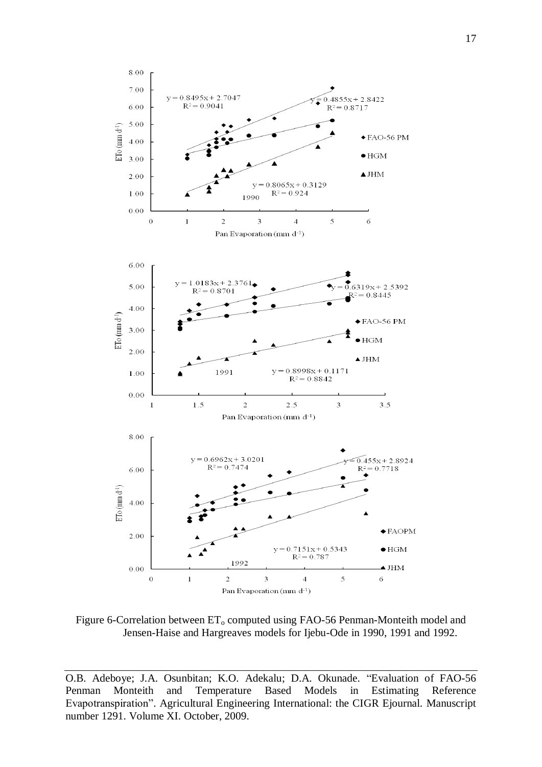

Figure 6-Correlation between  $ET_0$  computed using FAO-56 Penman-Monteith model and Jensen-Haise and Hargreaves models for Ijebu-Ode in 1990, 1991 and 1992.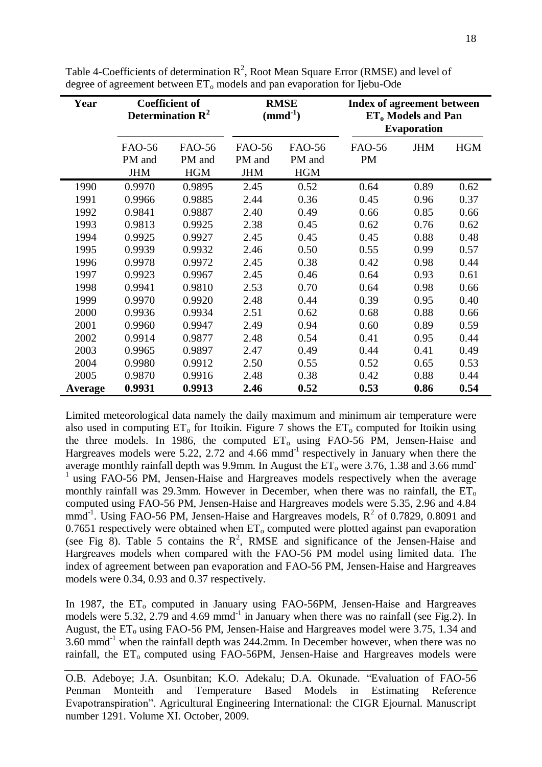| Year    | <b>Coefficient of</b><br>Determination $\mathbb{R}^2$ |                                       | <b>RMSE</b><br>$\text{mmd}^{-1}$      |                                | <b>Index of agreement between</b><br>ET <sub>0</sub> Models and Pan<br><b>Evaporation</b> |            |            |
|---------|-------------------------------------------------------|---------------------------------------|---------------------------------------|--------------------------------|-------------------------------------------------------------------------------------------|------------|------------|
|         | FAO-56<br>PM and<br><b>JHM</b>                        | <b>FAO-56</b><br>PM and<br><b>HGM</b> | <b>FAO-56</b><br>PM and<br><b>JHM</b> | FAO-56<br>PM and<br><b>HGM</b> | <b>FAO-56</b><br><b>PM</b>                                                                | <b>JHM</b> | <b>HGM</b> |
| 1990    | 0.9970                                                | 0.9895                                | 2.45                                  | 0.52                           | 0.64                                                                                      | 0.89       | 0.62       |
| 1991    | 0.9966                                                | 0.9885                                | 2.44                                  | 0.36                           | 0.45                                                                                      | 0.96       | 0.37       |
| 1992    | 0.9841                                                | 0.9887                                | 2.40                                  | 0.49                           | 0.66                                                                                      | 0.85       | 0.66       |
| 1993    | 0.9813                                                | 0.9925                                | 2.38                                  | 0.45                           | 0.62                                                                                      | 0.76       | 0.62       |
| 1994    | 0.9925                                                | 0.9927                                | 2.45                                  | 0.45                           | 0.45                                                                                      | 0.88       | 0.48       |
| 1995    | 0.9939                                                | 0.9932                                | 2.46                                  | 0.50                           | 0.55                                                                                      | 0.99       | 0.57       |
| 1996    | 0.9978                                                | 0.9972                                | 2.45                                  | 0.38                           | 0.42                                                                                      | 0.98       | 0.44       |
| 1997    | 0.9923                                                | 0.9967                                | 2.45                                  | 0.46                           | 0.64                                                                                      | 0.93       | 0.61       |
| 1998    | 0.9941                                                | 0.9810                                | 2.53                                  | 0.70                           | 0.64                                                                                      | 0.98       | 0.66       |
| 1999    | 0.9970                                                | 0.9920                                | 2.48                                  | 0.44                           | 0.39                                                                                      | 0.95       | 0.40       |
| 2000    | 0.9936                                                | 0.9934                                | 2.51                                  | 0.62                           | 0.68                                                                                      | 0.88       | 0.66       |
| 2001    | 0.9960                                                | 0.9947                                | 2.49                                  | 0.94                           | 0.60                                                                                      | 0.89       | 0.59       |
| 2002    | 0.9914                                                | 0.9877                                | 2.48                                  | 0.54                           | 0.41                                                                                      | 0.95       | 0.44       |
| 2003    | 0.9965                                                | 0.9897                                | 2.47                                  | 0.49                           | 0.44                                                                                      | 0.41       | 0.49       |
| 2004    | 0.9980                                                | 0.9912                                | 2.50                                  | 0.55                           | 0.52                                                                                      | 0.65       | 0.53       |
| 2005    | 0.9870                                                | 0.9916                                | 2.48                                  | 0.38                           | 0.42                                                                                      | 0.88       | 0.44       |
| Average | 0.9931                                                | 0.9913                                | 2.46                                  | 0.52                           | 0.53                                                                                      | 0.86       | 0.54       |

Table 4-Coefficients of determination  $R^2$ , Root Mean Square Error (RMSE) and level of degree of agreement between ET<sub>o</sub> models and pan evaporation for Ijebu-Ode

Limited meteorological data namely the daily maximum and minimum air temperature were also used in computing  $ET_0$  for Itoikin. Figure 7 shows the  $ET_0$  computed for Itoikin using the three models. In 1986, the computed  $ET_0$  using FAO-56 PM, Jensen-Haise and Hargreaves models were 5.22, 2.72 and 4.66 mmd<sup>-1</sup> respectively in January when there the average monthly rainfall depth was 9.9mm. In August the  $ET_0$  were 3.76, 1.38 and 3.66 mmd <sup>1</sup> using FAO-56 PM, Jensen-Haise and Hargreaves models respectively when the average monthly rainfall was 29.3mm. However in December, when there was no rainfall, the  $ET_0$ computed using FAO-56 PM, Jensen-Haise and Hargreaves models were 5.35, 2.96 and 4.84 mmd<sup>-1</sup>. Using FAO-56 PM, Jensen-Haise and Hargreaves models,  $R^2$  of 0.7829, 0.8091 and 0.7651 respectively were obtained when  $ET_0$  computed were plotted against pan evaporation (see Fig  $\overline{8}$ ). Table 5 contains the R<sup>2</sup>, RMSE and significance of the Jensen-Haise and Hargreaves models when compared with the FAO-56 PM model using limited data. The index of agreement between pan evaporation and FAO-56 PM, Jensen-Haise and Hargreaves models were 0.34, 0.93 and 0.37 respectively.

In 1987, the  $ET_0$  computed in January using FAO-56PM, Jensen-Haise and Hargreaves models were 5.32, 2.79 and 4.69 mmd<sup>-1</sup> in January when there was no rainfall (see Fig.2). In August, the  $ET_0$  using FAO-56 PM, Jensen-Haise and Hargreaves model were 3.75, 1.34 and  $3.60$  mmd<sup>-1</sup> when the rainfall depth was 244.2mm. In December however, when there was no rainfall, the  $ET_0$  computed using FAO-56PM, Jensen-Haise and Hargreaves models were

O.B. Adeboye; J.A. Osunbitan; K.O. Adekalu; D.A. Okunade. "Evaluation of FAO-56 Penman Monteith and Temperature Based Models in Estimating Reference Evapotranspiration". Agricultural Engineering International: the CIGR Ejournal. Manuscript number 1291. Volume XI. October, 2009.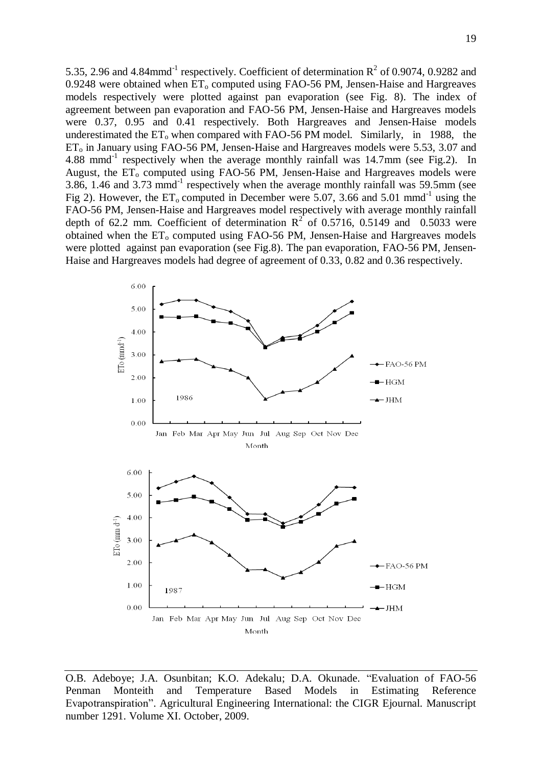5.35, 2.96 and 4.84mmd<sup>-1</sup> respectively. Coefficient of determination  $R^2$  of 0.9074, 0.9282 and 0.9248 were obtained when  $ET_0$  computed using FAO-56 PM, Jensen-Haise and Hargreaves models respectively were plotted against pan evaporation (see Fig. 8). The index of agreement between pan evaporation and FAO-56 PM, Jensen-Haise and Hargreaves models were 0.37, 0.95 and 0.41 respectively. Both Hargreaves and Jensen-Haise models underestimated the  $ET_0$  when compared with FAO-56 PM model. Similarly, in 1988, the  $ET<sub>o</sub>$  in January using FAO-56 PM, Jensen-Haise and Hargreaves models were 5.53, 3.07 and 4.88 mmd<sup>-1</sup> respectively when the average monthly rainfall was 14.7mm (see Fig.2). In August, the  $ET_0$  computed using FAO-56 PM, Jensen-Haise and Hargreaves models were 3.86, 1.46 and 3.73 mmd<sup>-1</sup> respectively when the average monthly rainfall was 59.5mm (see Fig 2). However, the  $ET_0$  computed in December were 5.07, 3.66 and 5.01 mmd<sup>-1</sup> using the FAO-56 PM, Jensen-Haise and Hargreaves model respectively with average monthly rainfall depth of 62.2 mm. Coefficient of determination  $R^2$  of 0.5716, 0.5149 and 0.5033 were obtained when the  $ET_0$  computed using FAO-56 PM, Jensen-Haise and Hargreaves models were plotted against pan evaporation (see Fig.8). The pan evaporation, FAO-56 PM, Jensen-Haise and Hargreaves models had degree of agreement of 0.33, 0.82 and 0.36 respectively.



O.B. Adeboye; J.A. Osunbitan; K.O. Adekalu; D.A. Okunade. "Evaluation of FAO-56 Penman Monteith and Temperature Based Models in Estimating Reference Evapotranspiration". Agricultural Engineering International: the CIGR Ejournal. Manuscript number 1291. Volume XI. October, 2009.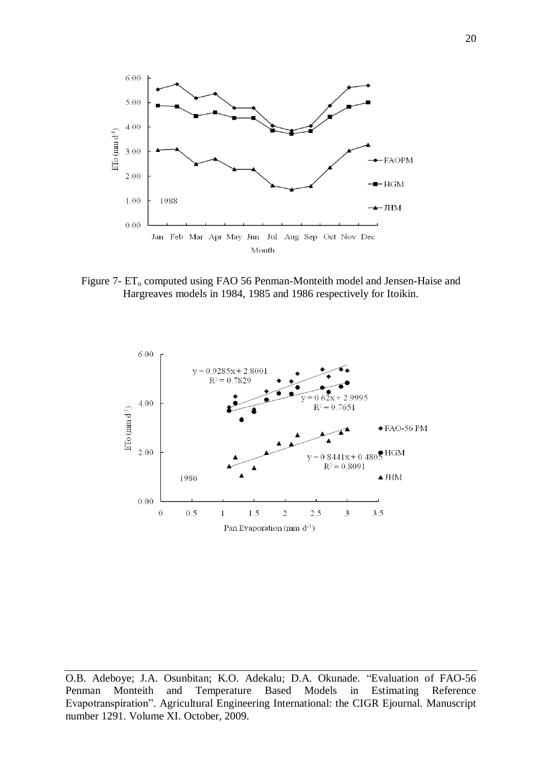

Figure 7- ET<sub>o</sub> computed using FAO 56 Penman-Monteith model and Jensen-Haise and Hargreaves models in 1984, 1985 and 1986 respectively for Itoikin.



O.B. Adeboye; J.A. Osunbitan; K.O. Adekalu; D.A. Okunade. "Evaluation of FAO-56 Penman Monteith and Temperature Based Models in Estimating Reference Evapotranspiration". Agricultural Engineering International: the CIGR Ejournal. Manuscript number 1291. Volume XI. October, 2009.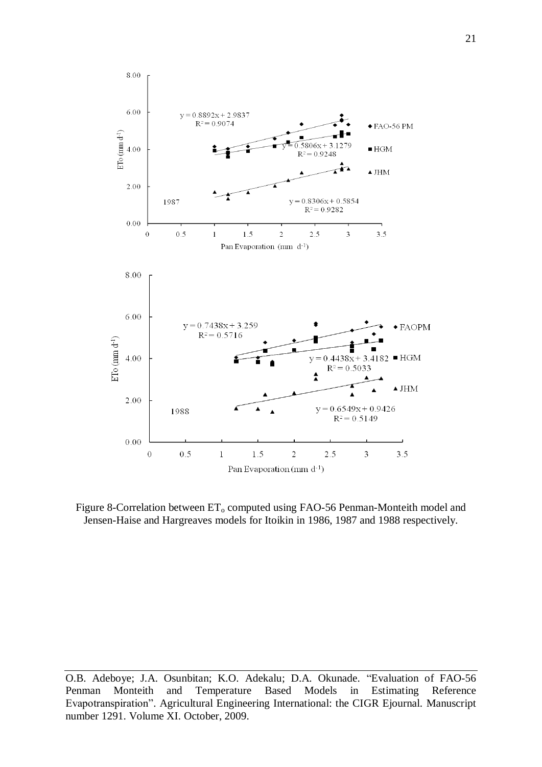

Figure 8-Correlation between  $ET_0$  computed using FAO-56 Penman-Monteith model and Jensen-Haise and Hargreaves models for Itoikin in 1986, 1987 and 1988 respectively.

O.B. Adeboye; J.A. Osunbitan; K.O. Adekalu; D.A. Okunade. "Evaluation of FAO-56 Penman Monteith and Temperature Based Models in Estimating Reference Evapotranspiration". Agricultural Engineering International: the CIGR Ejournal. Manuscript number 1291. Volume XI. October, 2009.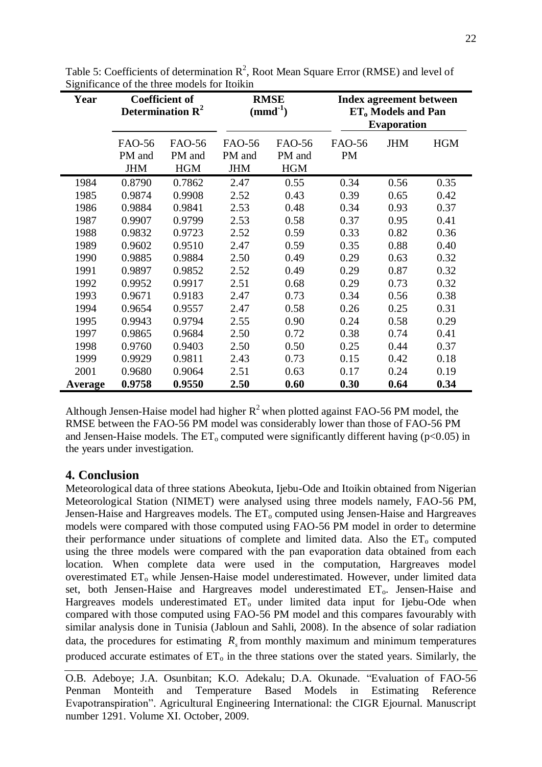| Year    | <b>Coefficient of</b><br>Determination $\mathbb{R}^2$ |                                       | <b>RMSE</b><br>$(mmd^{-1})$           |                                | <b>Index agreement between</b><br>ET <sub>o</sub> Models and Pan<br><b>Evaporation</b> |            |            |
|---------|-------------------------------------------------------|---------------------------------------|---------------------------------------|--------------------------------|----------------------------------------------------------------------------------------|------------|------------|
|         | FAO-56<br>PM and<br><b>JHM</b>                        | <b>FAO-56</b><br>PM and<br><b>HGM</b> | <b>FAO-56</b><br>PM and<br><b>JHM</b> | FAO-56<br>PM and<br><b>HGM</b> | FAO-56<br><b>PM</b>                                                                    | <b>JHM</b> | <b>HGM</b> |
| 1984    | 0.8790                                                | 0.7862                                | 2.47                                  | 0.55                           | 0.34                                                                                   | 0.56       | 0.35       |
| 1985    | 0.9874                                                | 0.9908                                | 2.52                                  | 0.43                           | 0.39                                                                                   | 0.65       | 0.42       |
| 1986    | 0.9884                                                | 0.9841                                | 2.53                                  | 0.48                           | 0.34                                                                                   | 0.93       | 0.37       |
| 1987    | 0.9907                                                | 0.9799                                | 2.53                                  | 0.58                           | 0.37                                                                                   | 0.95       | 0.41       |
| 1988    | 0.9832                                                | 0.9723                                | 2.52                                  | 0.59                           | 0.33                                                                                   | 0.82       | 0.36       |
| 1989    | 0.9602                                                | 0.9510                                | 2.47                                  | 0.59                           | 0.35                                                                                   | 0.88       | 0.40       |
| 1990    | 0.9885                                                | 0.9884                                | 2.50                                  | 0.49                           | 0.29                                                                                   | 0.63       | 0.32       |
| 1991    | 0.9897                                                | 0.9852                                | 2.52                                  | 0.49                           | 0.29                                                                                   | 0.87       | 0.32       |
| 1992    | 0.9952                                                | 0.9917                                | 2.51                                  | 0.68                           | 0.29                                                                                   | 0.73       | 0.32       |
| 1993    | 0.9671                                                | 0.9183                                | 2.47                                  | 0.73                           | 0.34                                                                                   | 0.56       | 0.38       |
| 1994    | 0.9654                                                | 0.9557                                | 2.47                                  | 0.58                           | 0.26                                                                                   | 0.25       | 0.31       |
| 1995    | 0.9943                                                | 0.9794                                | 2.55                                  | 0.90                           | 0.24                                                                                   | 0.58       | 0.29       |
| 1997    | 0.9865                                                | 0.9684                                | 2.50                                  | 0.72                           | 0.38                                                                                   | 0.74       | 0.41       |
| 1998    | 0.9760                                                | 0.9403                                | 2.50                                  | 0.50                           | 0.25                                                                                   | 0.44       | 0.37       |
| 1999    | 0.9929                                                | 0.9811                                | 2.43                                  | 0.73                           | 0.15                                                                                   | 0.42       | 0.18       |
| 2001    | 0.9680                                                | 0.9064                                | 2.51                                  | 0.63                           | 0.17                                                                                   | 0.24       | 0.19       |
| Average | 0.9758                                                | 0.9550                                | 2.50                                  | 0.60                           | 0.30                                                                                   | 0.64       | 0.34       |

Table 5: Coefficients of determination  $R^2$ , Root Mean Square Error (RMSE) and level of Significance of the three models for Itoikin

Although Jensen-Haise model had higher  $R^2$  when plotted against FAO-56 PM model, the RMSE between the FAO-56 PM model was considerably lower than those of FAO-56 PM and Jensen-Haise models. The  $ET_0$  computed were significantly different having (p<0.05) in the years under investigation.

# **4. Conclusion**

Meteorological data of three stations Abeokuta, Ijebu-Ode and Itoikin obtained from Nigerian Meteorological Station (NIMET) were analysed using three models namely, FAO-56 PM, Jensen-Haise and Hargreaves models. The  $ET_0$  computed using Jensen-Haise and Hargreaves models were compared with those computed using FAO-56 PM model in order to determine their performance under situations of complete and limited data. Also the  $ET_0$  computed using the three models were compared with the pan evaporation data obtained from each location. When complete data were used in the computation, Hargreaves model overestimated ET<sub>o</sub> while Jensen-Haise model underestimated. However, under limited data set, both Jensen-Haise and Hargreaves model underestimated  $ET_0$ . Jensen-Haise and Hargreaves models underestimated  $ET_0$  under limited data input for Ijebu-Ode when compared with those computed using FAO-56 PM model and this compares favourably with similar analysis done in Tunisia (Jabloun and Sahli, 2008). In the absence of solar radiation data, the procedures for estimating  $R<sub>s</sub>$  from monthly maximum and minimum temperatures produced accurate estimates of  $ET_0$  in the three stations over the stated years. Similarly, the

O.B. Adeboye; J.A. Osunbitan; K.O. Adekalu; D.A. Okunade. "Evaluation of FAO-56 Penman Monteith and Temperature Based Models in Estimating Reference Evapotranspiration". Agricultural Engineering International: the CIGR Ejournal. Manuscript number 1291. Volume XI. October, 2009.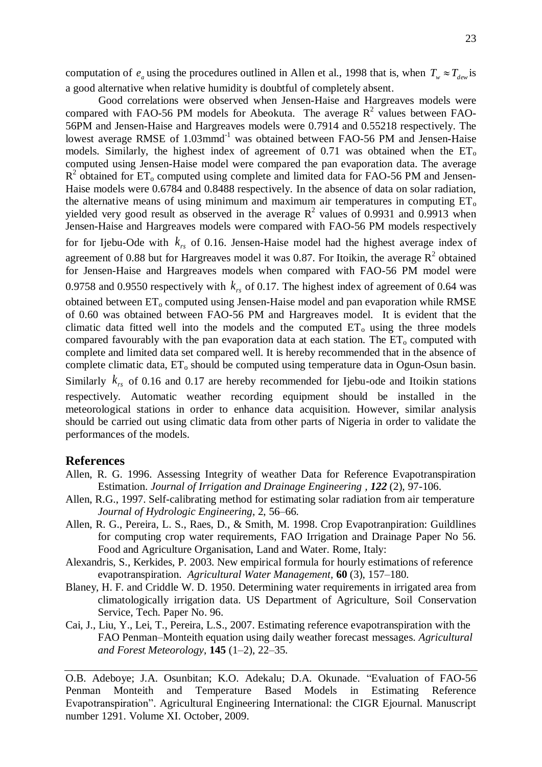computation of  $e_a$  using the procedures outlined in Allen et al., 1998 that is, when  $T_w \approx T_{dev}$  is a good alternative when relative humidity is doubtful of completely absent.

Good correlations were observed when Jensen-Haise and Hargreaves models were compared with FAO-56 PM models for Abeokuta. The average  $R^2$  values between FAO-56PM and Jensen-Haise and Hargreaves models were 0.7914 and 0.55218 respectively. The lowest average RMSE of 1.03mmd<sup>-1</sup> was obtained between FAO-56 PM and Jensen-Haise models. Similarly, the highest index of agreement of 0.71 was obtained when the  $ET_0$ computed using Jensen-Haise model were compared the pan evaporation data. The average  $R<sup>2</sup>$  obtained for ET<sub>o</sub> computed using complete and limited data for FAO-56 PM and Jensen-Haise models were 0.6784 and 0.8488 respectively. In the absence of data on solar radiation, the alternative means of using minimum and maximum air temperatures in computing  $ET_0$ yielded very good result as observed in the average  $R^2$  values of 0.9931 and 0.9913 when Jensen-Haise and Hargreaves models were compared with FAO-56 PM models respectively for for Ijebu-Ode with  $k_{rs}$  of 0.16. Jensen-Haise model had the highest average index of agreement of 0.88 but for Hargreaves model it was 0.87. For Itoikin, the average  $R^2$  obtained for Jensen-Haise and Hargreaves models when compared with FAO-56 PM model were 0.9758 and 0.9550 respectively with  $k_{rs}$  of 0.17. The highest index of agreement of 0.64 was obtained between  $ET_0$  computed using Jensen-Haise model and pan evaporation while RMSE of 0.60 was obtained between FAO-56 PM and Hargreaves model. It is evident that the climatic data fitted well into the models and the computed  $ET_0$  using the three models compared favourably with the pan evaporation data at each station. The  $ET_0$  computed with complete and limited data set compared well. It is hereby recommended that in the absence of complete climatic data,  $ET_0$  should be computed using temperature data in Ogun-Osun basin. Similarly  $k_{rs}$  of 0.16 and 0.17 are hereby recommended for Ijebu-ode and Itoikin stations respectively. Automatic weather recording equipment should be installed in the meteorological stations in order to enhance data acquisition. However, similar analysis should be carried out using climatic data from other parts of Nigeria in order to validate the performances of the models.

#### **References**

- Allen, R. G. 1996. Assessing Integrity of weather Data for Reference Evapotranspiration Estimation. *Journal of Irrigation and Drainage Engineering , 122* (2), 97-106.
- Allen, R.G., 1997. Self-calibrating method for estimating solar radiation from air temperature *Journal of Hydrologic Engineering*, 2, 56–66.
- Allen, R. G., Pereira, L. S., Raes, D., & Smith, M. 1998. Crop Evapotranpiration: Guildlines for computing crop water requirements, FAO Irrigation and Drainage Paper No 56. Food and Agriculture Organisation, Land and Water. Rome, Italy:
- Alexandris, S., Kerkides, P. 2003. New empirical formula for hourly estimations of reference evapotranspiration. *Agricultural Water Management,* **60** (3), 157–180.
- Blaney, H. F. and Criddle W. D. 1950. Determining water requirements in irrigated area from climatologically irrigation data. US Department of Agriculture, Soil Conservation Service, Tech. Paper No. 96.
- Cai, J., Liu, Y., Lei, T., Pereira, L.S., 2007. Estimating reference evapotranspiration with the FAO Penman–Monteith equation using daily weather forecast messages. *Agricultural and Forest Meteorology*, **145** (1–2), 22–35.

O.B. Adeboye; J.A. Osunbitan; K.O. Adekalu; D.A. Okunade. "Evaluation of FAO-56 Penman Monteith and Temperature Based Models in Estimating Reference Evapotranspiration". Agricultural Engineering International: the CIGR Ejournal. Manuscript number 1291. Volume XI. October, 2009.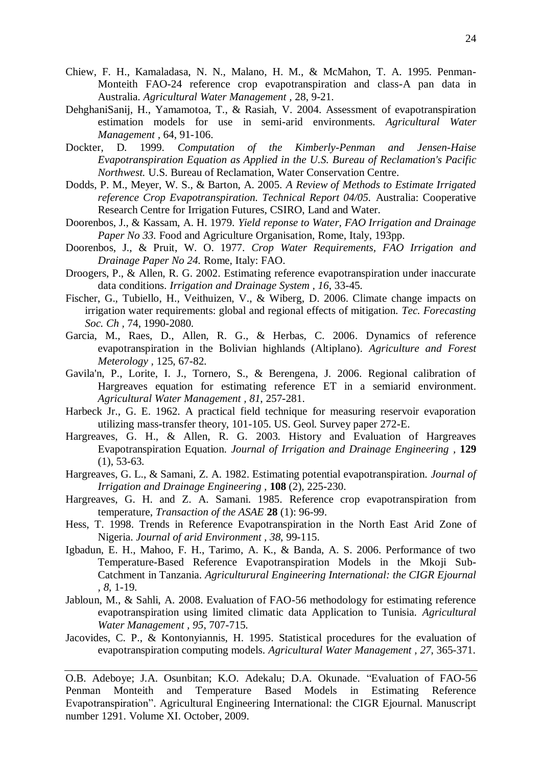- Chiew, F. H., Kamaladasa, N. N., Malano, H. M., & McMahon, T. A. 1995. Penman-Monteith FAO-24 reference crop evapotranspiration and class-A pan data in Australia. *Agricultural Water Management ,* 28, 9-21.
- DehghaniSanij, H., Yamamotoa, T., & Rasiah, V. 2004. Assessment of evapotranspiration estimation models for use in semi-arid environments. *Agricultural Water Management ,* 64, 91-106.
- Dockter, D. 1999. *Computation of the Kimberly-Penman and Jensen-Haise Evapotranspiration Equation as Applied in the U.S. Bureau of Reclamation's Pacific Northwest.* U.S. Bureau of Reclamation, Water Conservation Centre.
- Dodds, P. M., Meyer, W. S., & Barton, A. 2005. *A Review of Methods to Estimate Irrigated reference Crop Evapotranspiration. Technical Report 04/05.* Australia: Cooperative Research Centre for Irrigation Futures, CSIRO, Land and Water.
- Doorenbos, J., & Kassam, A. H. 1979. *Yield reponse to Water, FAO Irrigation and Drainage Paper No 33.* Food and Agriculture Organisation, Rome, Italy, 193pp.
- Doorenbos, J., & Pruit, W. O. 1977. *Crop Water Requirements, FAO Irrigation and Drainage Paper No 24.* Rome, Italy: FAO.
- Droogers, P., & Allen, R. G. 2002. Estimating reference evapotranspiration under inaccurate data conditions. *Irrigation and Drainage System , 16*, 33-45.
- Fischer, G., Tubiello, H., Veithuizen, V., & Wiberg, D. 2006. Climate change impacts on irrigation water requirements: global and regional effects of mitigation. *Tec. Forecasting Soc. Ch ,* 74, 1990-2080.
- Garcia, M., Raes, D., Allen, R. G., & Herbas, C. 2006. Dynamics of reference evapotranspiration in the Bolivian highlands (Altiplano). *Agriculture and Forest Meterology ,* 125, 67-82.
- Gavila'n, P., Lorite, I. J., Tornero, S., & Berengena, J. 2006. Regional calibration of Hargreaves equation for estimating reference ET in a semiarid environment. *Agricultural Water Management , 81*, 257-281.
- Harbeck Jr., G. E. 1962. A practical field technique for measuring reservoir evaporation utilizing mass-transfer theory, 101-105. US. Geol. Survey paper 272-E.
- Hargreaves, G. H., & Allen, R. G. 2003. History and Evaluation of Hargreaves Evapotranspiration Equation. *Journal of Irrigation and Drainage Engineering ,* **129**  $(1), 53-63.$
- Hargreaves, G. L., & Samani, Z. A. 1982. Estimating potential evapotranspiration. *Journal of Irrigation and Drainage Engineering ,* **108** (2), 225-230.
- Hargreaves, G. H. and Z. A. Samani. 1985. Reference crop evapotranspiration from temperature, *Transaction of the ASAE* **28** (1): 96-99.
- Hess, T. 1998. Trends in Reference Evapotranspiration in the North East Arid Zone of Nigeria. *Journal of arid Environment , 38*, 99-115.
- Igbadun, E. H., Mahoo, F. H., Tarimo, A. K., & Banda, A. S. 2006. Performance of two Temperature-Based Reference Evapotranspiration Models in the Mkoji Sub-Catchment in Tanzania. *Agriculturural Engineering International: the CIGR Ejournal , 8*, 1-19.
- Jabloun, M., & Sahli, A. 2008. Evaluation of FAO-56 methodology for estimating reference evapotranspiration using limited climatic data Application to Tunisia. *Agricultural Water Management , 95*, 707-715.
- Jacovides, C. P., & Kontonyiannis, H. 1995. Statistical procedures for the evaluation of evapotranspiration computing models. *Agricultural Water Management , 27*, 365-371.

O.B. Adeboye; J.A. Osunbitan; K.O. Adekalu; D.A. Okunade. "Evaluation of FAO-56 Penman Monteith and Temperature Based Models in Estimating Reference Evapotranspiration". Agricultural Engineering International: the CIGR Ejournal. Manuscript number 1291. Volume XI. October, 2009.